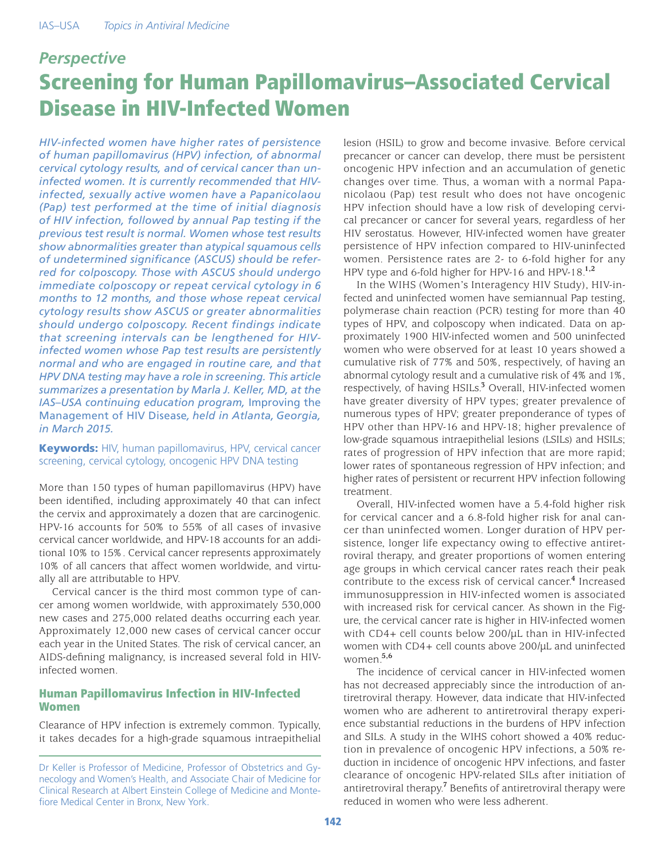# *Perspective* Screening for Human Papillomavirus–Associated Cervical Disease in HIV-Infected Women

*HIV-infected women have higher rates of persistence of human papillomavirus (HPV) infection, of abnormal cervical cytology results, and of cervical cancer than uninfected women. It is currently recommended that HIVinfected, sexually active women have a Papanicolaou (Pap) test performed at the time of initial diagnosis of HIV infection, followed by annual Pap testing if the previous test result is normal. Women whose test results show abnormalities greater than atypical squamous cells of undetermined significance (ASCUS) should be referred for colposcopy. Those with ASCUS should undergo immediate colposcopy or repeat cervical cytology in 6 months to 12 months, and those whose repeat cervical cytology results show ASCUS or greater abnormalities should undergo colposcopy. Recent findings indicate that screening intervals can be lengthened for HIVinfected women whose Pap test results are persistently normal and who are engaged in routine care, and that HPV DNA testing may have a role in screening. This article summarizes a presentation by Marla J. Keller, MD, at the IAS–USA continuing education program,* Improving the Management of HIV Disease*, held in Atlanta, Georgia, in March 2015.*

**Keywords:** HIV, human papillomavirus, HPV, cervical cancer screening, cervical cytology, oncogenic HPV DNA testing

More than 150 types of human papillomavirus (HPV) have been identified, including approximately 40 that can infect the cervix and approximately a dozen that are carcinogenic. HPV-16 accounts for 50% to 55% of all cases of invasive cervical cancer worldwide, and HPV-18 accounts for an additional 10% to 15%. Cervical cancer represents approximately 10% of all cancers that affect women worldwide, and virtually all are attributable to HPV.

Cervical cancer is the third most common type of cancer among women worldwide, with approximately 530,000 new cases and 275,000 related deaths occurring each year. Approximately 12,000 new cases of cervical cancer occur each year in the United States. The risk of cervical cancer, an AIDS-defining malignancy, is increased several fold in HIVinfected women.

## Human Papillomavirus Infection in HIV-Infected Women

Clearance of HPV infection is extremely common. Typically, it takes decades for a high-grade squamous intraepithelial lesion (HSIL) to grow and become invasive. Before cervical precancer or cancer can develop, there must be persistent oncogenic HPV infection and an accumulation of genetic changes over time. Thus, a woman with a normal Papanicolaou (Pap) test result who does not have oncogenic HPV infection should have a low risk of developing cervical precancer or cancer for several years, regardless of her HIV serostatus. However, HIV-infected women have greater persistence of HPV infection compared to HIV-uninfected women. Persistence rates are 2- to 6-fold higher for any HPV type and 6-fold higher for HPV-16 and HPV-18.**1,2**

In the WIHS (Women's Interagency HIV Study), HIV-infected and uninfected women have semiannual Pap testing, polymerase chain reaction (PCR) testing for more than 40 types of HPV, and colposcopy when indicated. Data on approximately 1900 HIV-infected women and 500 uninfected women who were observed for at least 10 years showed a cumulative risk of 77% and 50%, respectively, of having an abnormal cytology result and a cumulative risk of 4% and 1%, respectively, of having HSILs.**<sup>3</sup>** Overall, HIV-infected women have greater diversity of HPV types; greater prevalence of numerous types of HPV; greater preponderance of types of HPV other than HPV-16 and HPV-18; higher prevalence of low-grade squamous intraepithelial lesions (LSILs) and HSILs; rates of progression of HPV infection that are more rapid; lower rates of spontaneous regression of HPV infection; and higher rates of persistent or recurrent HPV infection following treatment.

Overall, HIV-infected women have a 5.4-fold higher risk for cervical cancer and a 6.8-fold higher risk for anal cancer than uninfected women. Longer duration of HPV persistence, longer life expectancy owing to effective antiretroviral therapy, and greater proportions of women entering age groups in which cervical cancer rates reach their peak contribute to the excess risk of cervical cancer.**<sup>4</sup>** Increased immunosuppression in HIV-infected women is associated with increased risk for cervical cancer. As shown in the Figure, the cervical cancer rate is higher in HIV-infected women with CD4+ cell counts below 200/µL than in HIV-infected women with CD4+ cell counts above 200/µL and uninfected women.**5,6**

The incidence of cervical cancer in HIV-infected women has not decreased appreciably since the introduction of antiretroviral therapy. However, data indicate that HIV-infected women who are adherent to antiretroviral therapy experience substantial reductions in the burdens of HPV infection and SILs. A study in the WIHS cohort showed a 40% reduction in prevalence of oncogenic HPV infections, a 50% reduction in incidence of oncogenic HPV infections, and faster clearance of oncogenic HPV-related SILs after initiation of antiretroviral therapy.<sup>7</sup> Benefits of antiretroviral therapy were reduced in women who were less adherent.

Dr Keller is Professor of Medicine, Professor of Obstetrics and Gynecology and Women's Health, and Associate Chair of Medicine for Clinical Research at Albert Einstein College of Medicine and Montefiore Medical Center in Bronx, New York.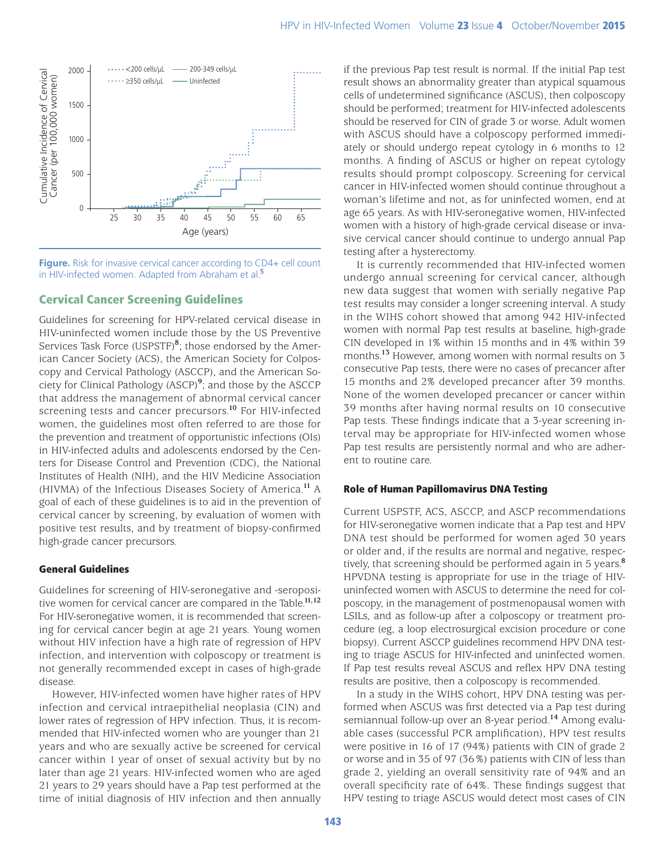

**Figure.** Risk for invasive cervical cancer according to CD4+ cell count

### Cervical Cancer Screening Guidelines

Guidelines for screening for HPV-related cervical disease in HIV-uninfected women include those by the US Preventive Services Task Force (USPSTF)**<sup>8</sup>** ; those endorsed by the American Cancer Society (ACS), the American Society for Colposcopy and Cervical Pathology (ASCCP), and the American Society for Clinical Pathology (ASCP)**<sup>9</sup>** ; and those by the ASCCP that address the management of abnormal cervical cancer screening tests and cancer precursors.**<sup>10</sup>** For HIV-infected women, the guidelines most often referred to are those for the prevention and treatment of opportunistic infections (OIs) in HIV-infected adults and adolescents endorsed by the Centers for Disease Control and Prevention (CDC), the National Institutes of Health (NIH), and the HIV Medicine Association (HIVMA) of the Infectious Diseases Society of America.**<sup>11</sup>** A goal of each of these guidelines is to aid in the prevention of cervical cancer by screening, by evaluation of women with positive test results, and by treatment of biopsy-confirmed high-grade cancer precursors.

#### General Guidelines

Guidelines for screening of HIV-seronegative and -seropositive women for cervical cancer are compared in the Table.**11,12** For HIV-seronegative women, it is recommended that screening for cervical cancer begin at age 21 years. Young women without HIV infection have a high rate of regression of HPV infection, and intervention with colposcopy or treatment is not generally recommended except in cases of high-grade disease.

However, HIV-infected women have higher rates of HPV infection and cervical intraepithelial neoplasia (CIN) and lower rates of regression of HPV infection. Thus, it is recommended that HIV-infected women who are younger than 21 years and who are sexually active be screened for cervical cancer within 1 year of onset of sexual activity but by no later than age 21 years. HIV-infected women who are aged 21 years to 29 years should have a Pap test performed at the time of initial diagnosis of HIV infection and then annually if the previous Pap test result is normal. If the initial Pap test result shows an abnormality greater than atypical squamous cells of undetermined significance (ASCUS), then colposcopy should be performed; treatment for HIV-infected adolescents should be reserved for CIN of grade 3 or worse. Adult women with ASCUS should have a colposcopy performed immediately or should undergo repeat cytology in 6 months to 12 months. A finding of ASCUS or higher on repeat cytology results should prompt colposcopy. Screening for cervical cancer in HIV-infected women should continue throughout a woman's lifetime and not, as for uninfected women, end at age 65 years. As with HIV-seronegative women, HIV-infected women with a history of high-grade cervical disease or invasive cervical cancer should continue to undergo annual Pap testing after a hysterectomy.

It is currently recommended that HIV-infected women undergo annual screening for cervical cancer, although new data suggest that women with serially negative Pap test results may consider a longer screening interval. A study in the WIHS cohort showed that among 942 HIV-infected women with normal Pap test results at baseline, high-grade CIN developed in 1% within 15 months and in 4% within 39 months.**<sup>13</sup>** However, among women with normal results on 3 consecutive Pap tests, there were no cases of precancer after 15 months and 2% developed precancer after 39 months. None of the women developed precancer or cancer within 39 months after having normal results on 10 consecutive Pap tests. These findings indicate that a 3-year screening interval may be appropriate for HIV-infected women whose Pap test results are persistently normal and who are adherent to routine care.

#### Role of Human Papillomavirus DNA Testing

Current USPSTF, ACS, ASCCP, and ASCP recommendations for HIV-seronegative women indicate that a Pap test and HPV DNA test should be performed for women aged 30 years or older and, if the results are normal and negative, respectively, that screening should be performed again in 5 years.**<sup>8</sup>** HPVDNA testing is appropriate for use in the triage of HIVuninfected women with ASCUS to determine the need for colposcopy, in the management of postmenopausal women with LSILs, and as follow-up after a colposcopy or treatment procedure (eg, a loop electrosurgical excision procedure or cone biopsy). Current ASCCP guidelines recommend HPV DNA testing to triage ASCUS for HIV-infected and uninfected women. If Pap test results reveal ASCUS and reflex HPV DNA testing results are positive, then a colposcopy is recommended.

In a study in the WIHS cohort, HPV DNA testing was performed when ASCUS was first detected via a Pap test during semiannual follow-up over an 8-year period.**<sup>14</sup>** Among evaluable cases (successful PCR amplification), HPV test results were positive in 16 of 17 (94%) patients with CIN of grade 2 or worse and in 35 of 97 (36%) patients with CIN of less than grade 2, yielding an overall sensitivity rate of 94% and an overall specificity rate of 64%. These findings suggest that HPV testing to triage ASCUS would detect most cases of CIN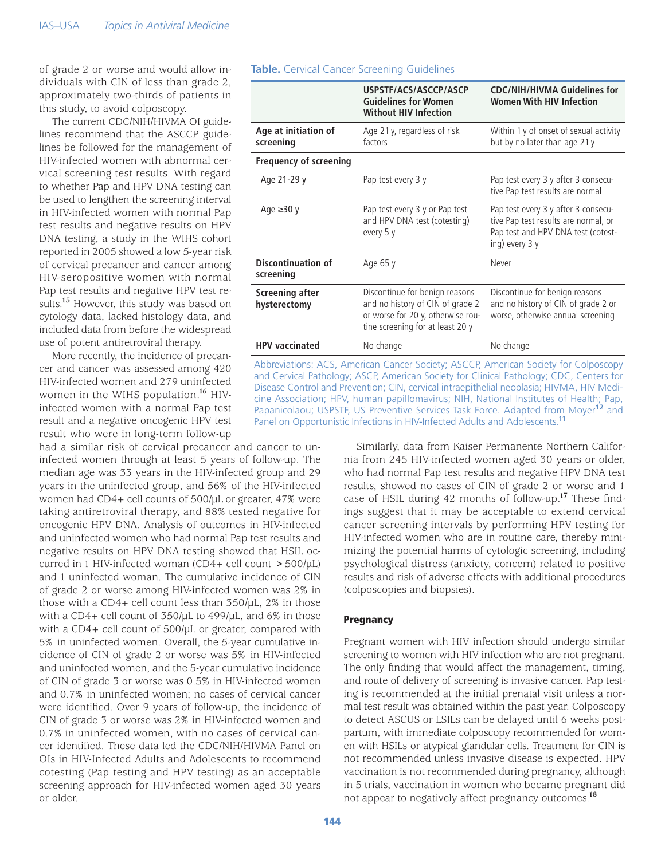of grade 2 or worse and would allow individuals with CIN of less than grade 2, approximately two-thirds of patients in this study, to avoid colposcopy.

The current CDC/NIH/HIVMA OI guidelines recommend that the ASCCP guidelines be followed for the management of HIV-infected women with abnormal cervical screening test results. With regard to whether Pap and HPV DNA testing can be used to lengthen the screening interval in HIV-infected women with normal Pap test results and negative results on HPV DNA testing, a study in the WIHS cohort reported in 2005 showed a low 5-year risk of cervical precancer and cancer among HIV-seropositive women with normal Pap test results and negative HPV test results.**<sup>15</sup>** However, this study was based on cytology data, lacked histology data, and included data from before the widespread use of potent antiretroviral therapy.

More recently, the incidence of precancer and cancer was assessed among 420 HIV-infected women and 279 uninfected women in the WIHS population.**<sup>16</sup>** HIVinfected women with a normal Pap test result and a negative oncogenic HPV test result who were in long-term follow-up

had a similar risk of cervical precancer and cancer to uninfected women through at least 5 years of follow-up. The median age was 33 years in the HIV-infected group and 29 years in the uninfected group, and 56% of the HIV-infected women had CD4+ cell counts of 500/µL or greater, 47% were taking antiretroviral therapy, and 88% tested negative for oncogenic HPV DNA. Analysis of outcomes in HIV-infected and uninfected women who had normal Pap test results and negative results on HPV DNA testing showed that HSIL occurred in 1 HIV-infected woman (CD4+ cell count  $>$  500/µL) and 1 uninfected woman. The cumulative incidence of CIN of grade 2 or worse among HIV-infected women was 2% in those with a CD4+ cell count less than 350/µL, 2% in those with a CD4+ cell count of 350/µL to 499/µL, and 6% in those with a CD4+ cell count of 500/µL or greater, compared with 5% in uninfected women. Overall, the 5-year cumulative incidence of CIN of grade 2 or worse was 5% in HIV-infected and uninfected women, and the 5-year cumulative incidence of CIN of grade 3 or worse was 0.5% in HIV-infected women and 0.7% in uninfected women; no cases of cervical cancer were identified. Over 9 years of follow-up, the incidence of CIN of grade 3 or worse was 2% in HIV-infected women and 0.7% in uninfected women, with no cases of cervical cancer identified. These data led the CDC/NIH/HIVMA Panel on OIs in HIV-Infected Adults and Adolescents to recommend cotesting (Pap testing and HPV testing) as an acceptable screening approach for HIV-infected women aged 30 years or older.

#### **Table.** Cervical Cancer Screening Guidelines

|                                        | USPSTF/ACS/ASCCP/ASCP<br><b>Guidelines for Women</b><br><b>Without HIV Infection</b>                                                        | <b>CDC/NIH/HIVMA Guidelines for</b><br><b>Women With HIV Infection</b>                                                              |
|----------------------------------------|---------------------------------------------------------------------------------------------------------------------------------------------|-------------------------------------------------------------------------------------------------------------------------------------|
| Age at initiation of<br>screening      | Age 21 y, regardless of risk<br>factors                                                                                                     | Within 1 y of onset of sexual activity<br>but by no later than age 21 y                                                             |
| <b>Frequency of screening</b>          |                                                                                                                                             |                                                                                                                                     |
| Age 21-29 y                            | Pap test every 3 y                                                                                                                          | Pap test every 3 y after 3 consecu-<br>tive Pap test results are normal                                                             |
| Age $\geq 30$ y                        | Pap test every 3 y or Pap test<br>and HPV DNA test (cotesting)<br>every 5 y                                                                 | Pap test every 3 y after 3 consecu-<br>tive Pap test results are normal, or<br>Pap test and HPV DNA test (cotest-<br>ing) every 3 y |
| <b>Discontinuation of</b><br>screening | Age 65 y                                                                                                                                    | Never                                                                                                                               |
| Screening after<br>hysterectomy        | Discontinue for benign reasons<br>and no history of CIN of grade 2<br>or worse for 20 y, otherwise rou-<br>tine screening for at least 20 y | Discontinue for benign reasons<br>and no history of CIN of grade 2 or<br>worse, otherwise annual screening                          |
| <b>HPV</b> vaccinated                  | No change                                                                                                                                   | No change                                                                                                                           |

Abbreviations: ACS, American Cancer Society; ASCCP, American Society for Colposcopy and Cervical Pathology; ASCP, American Society for Clinical Pathology; CDC, Centers for Disease Control and Prevention; CIN, cervical intraepithelial neoplasia; HIVMA, HIV Medicine Association; HPV, human papillomavirus; NIH, National Institutes of Health; Pap, Papanicolaou; USPSTF, US Preventive Services Task Force. Adapted from Moyer**12** and Panel on Opportunistic Infections in HIV-Infected Adults and Adolescents.**<sup>11</sup>**

> Similarly, data from Kaiser Permanente Northern California from 245 HIV-infected women aged 30 years or older, who had normal Pap test results and negative HPV DNA test results, showed no cases of CIN of grade 2 or worse and 1 case of HSIL during 42 months of follow-up.**<sup>17</sup>** These findings suggest that it may be acceptable to extend cervical cancer screening intervals by performing HPV testing for HIV-infected women who are in routine care, thereby minimizing the potential harms of cytologic screening, including psychological distress (anxiety, concern) related to positive results and risk of adverse effects with additional procedures (colposcopies and biopsies).

#### **Pregnancy**

Pregnant women with HIV infection should undergo similar screening to women with HIV infection who are not pregnant. The only finding that would affect the management, timing, and route of delivery of screening is invasive cancer. Pap testing is recommended at the initial prenatal visit unless a normal test result was obtained within the past year. Colposcopy to detect ASCUS or LSILs can be delayed until 6 weeks postpartum, with immediate colposcopy recommended for women with HSILs or atypical glandular cells. Treatment for CIN is not recommended unless invasive disease is expected. HPV vaccination is not recommended during pregnancy, although in 5 trials, vaccination in women who became pregnant did not appear to negatively affect pregnancy outcomes.**<sup>18</sup>**